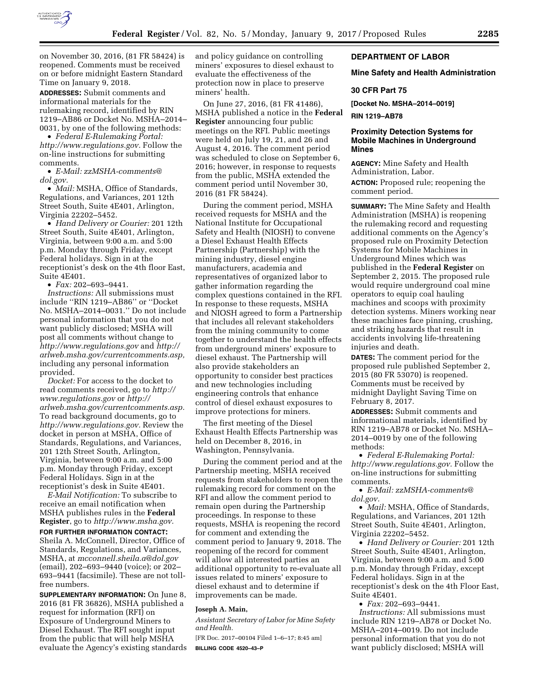

on November 30, 2016, (81 FR 58424) is reopened. Comments must be received on or before midnight Eastern Standard Time on January 9, 2018.

**ADDRESSES:** Submit comments and informational materials for the rulemaking record, identified by RIN 1219–AB86 or Docket No. MSHA–2014– 0031, by one of the following methods:

• *Federal E-Rulemaking Portal: [http://www.regulations.gov.](http://www.regulations.gov)* Follow the on-line instructions for submitting comments.

• *E-Mail: [zzMSHA-comments@](mailto:zzMSHA-comments@dol.gov) [dol.gov.](mailto:zzMSHA-comments@dol.gov)* 

• *Mail:* MSHA, Office of Standards, Regulations, and Variances, 201 12th Street South, Suite 4E401, Arlington, Virginia 22202–5452.

• *Hand Delivery or Courier:* 201 12th Street South, Suite 4E401, Arlington, Virginia, between 9:00 a.m. and 5:00 p.m. Monday through Friday, except Federal holidays. Sign in at the receptionist's desk on the 4th floor East, Suite 4E401.

• *Fax:* 202–693–9441.

*Instructions:* All submissions must include ''RIN 1219–AB86'' or ''Docket No. MSHA–2014–0031.'' Do not include personal information that you do not want publicly disclosed; MSHA will post all comments without change to *<http://www.regulations.gov>* and *[http://](http://arlweb.msha.gov/currentcomments.asp) [arlweb.msha.gov/currentcomments.asp,](http://arlweb.msha.gov/currentcomments.asp)*  including any personal information provided.

*Docket:* For access to the docket to read comments received, go to *[http://](http://www.regulations.gov) [www.regulations.gov](http://www.regulations.gov)* or *[http://](http://arlweb.msha.gov/currentcomments.asp) [arlweb.msha.gov/currentcomments.asp.](http://arlweb.msha.gov/currentcomments.asp)*  To read background documents, go to *[http://www.regulations.gov.](http://www.regulations.gov)* Review the docket in person at MSHA, Office of Standards, Regulations, and Variances, 201 12th Street South, Arlington, Virginia, between 9:00 a.m. and 5:00 p.m. Monday through Friday, except Federal Holidays. Sign in at the receptionist's desk in Suite 4E401.

*E-Mail Notification:* To subscribe to receive an email notification when MSHA publishes rules in the **Federal Register**, go to *[http://www.msha.gov.](http://www.msha.gov)* 

**FOR FURTHER INFORMATION CONTACT:**  Sheila A. McConnell, Director, Office of Standards, Regulations, and Variances, MSHA, at *[mcconnell.sheila.a@dol.gov](mailto:mcconnell.sheila.a@dol.gov)*  (email), 202–693–9440 (voice); or 202– 693–9441 (facsimile). These are not tollfree numbers.

**SUPPLEMENTARY INFORMATION:** On June 8, 2016 (81 FR 36826), MSHA published a request for information (RFI) on Exposure of Underground Miners to Diesel Exhaust. The RFI sought input from the public that will help MSHA evaluate the Agency's existing standards and policy guidance on controlling miners' exposures to diesel exhaust to evaluate the effectiveness of the protection now in place to preserve miners' health.

On June 27, 2016, (81 FR 41486), MSHA published a notice in the **Federal Register** announcing four public meetings on the RFI. Public meetings were held on July 19, 21, and 26 and August 4, 2016. The comment period was scheduled to close on September 6, 2016; however, in response to requests from the public, MSHA extended the comment period until November 30, 2016 (81 FR 58424).

During the comment period, MSHA received requests for MSHA and the National Institute for Occupational Safety and Health (NIOSH) to convene a Diesel Exhaust Health Effects Partnership (Partnership) with the mining industry, diesel engine manufacturers, academia and representatives of organized labor to gather information regarding the complex questions contained in the RFI. In response to these requests, MSHA and NIOSH agreed to form a Partnership that includes all relevant stakeholders from the mining community to come together to understand the health effects from underground miners' exposure to diesel exhaust. The Partnership will also provide stakeholders an opportunity to consider best practices and new technologies including engineering controls that enhance control of diesel exhaust exposures to improve protections for miners.

The first meeting of the Diesel Exhaust Health Effects Partnership was held on December 8, 2016, in Washington, Pennsylvania.

During the comment period and at the Partnership meeting, MSHA received requests from stakeholders to reopen the rulemaking record for comment on the RFI and allow the comment period to remain open during the Partnership proceedings. In response to these requests, MSHA is reopening the record for comment and extending the comment period to January 9, 2018. The reopening of the record for comment will allow all interested parties an additional opportunity to re-evaluate all issues related to miners' exposure to diesel exhaust and to determine if improvements can be made.

### **Joseph A. Main,**

*Assistant Secretary of Labor for Mine Safety and Health.* 

[FR Doc. 2017–00104 Filed 1–6–17; 8:45 am] **BILLING CODE 4520–43–P** 

# **DEPARTMENT OF LABOR**

## **Mine Safety and Health Administration**

### **30 CFR Part 75**

**[Docket No. MSHA–2014–0019]** 

**RIN 1219–AB78** 

# **Proximity Detection Systems for Mobile Machines in Underground Mines**

**AGENCY:** Mine Safety and Health Administration, Labor. **ACTION:** Proposed rule; reopening the comment period.

**SUMMARY:** The Mine Safety and Health Administration (MSHA) is reopening the rulemaking record and requesting additional comments on the Agency's proposed rule on Proximity Detection Systems for Mobile Machines in Underground Mines which was published in the **Federal Register** on September 2, 2015. The proposed rule would require underground coal mine operators to equip coal hauling machines and scoops with proximity detection systems. Miners working near these machines face pinning, crushing, and striking hazards that result in accidents involving life-threatening injuries and death.

**DATES:** The comment period for the proposed rule published September 2, 2015 (80 FR 53070) is reopened. Comments must be received by midnight Daylight Saving Time on February 8, 2017.

**ADDRESSES:** Submit comments and informational materials, identified by RIN 1219–AB78 or Docket No. MSHA– 2014–0019 by one of the following methods:

• *Federal E-Rulemaking Portal: [http://www.regulations.gov.](http://www.regulations.gov)* Follow the on-line instructions for submitting comments.

• *E-Mail: [zzMSHA-comments@](mailto:zzMSHA-comments@dol.gov) [dol.gov.](mailto:zzMSHA-comments@dol.gov)* 

• *Mail:* MSHA, Office of Standards, Regulations, and Variances, 201 12th Street South, Suite 4E401, Arlington, Virginia 22202–5452.

• *Hand Delivery or Courier:* 201 12th Street South, Suite 4E401, Arlington, Virginia, between 9:00 a.m. and 5:00 p.m. Monday through Friday, except Federal holidays. Sign in at the receptionist's desk on the 4th Floor East, Suite 4E401.

• *Fax:* 202–693–9441.

*Instructions:* All submissions must include RIN 1219–AB78 or Docket No. MSHA–2014–0019. Do not include personal information that you do not want publicly disclosed; MSHA will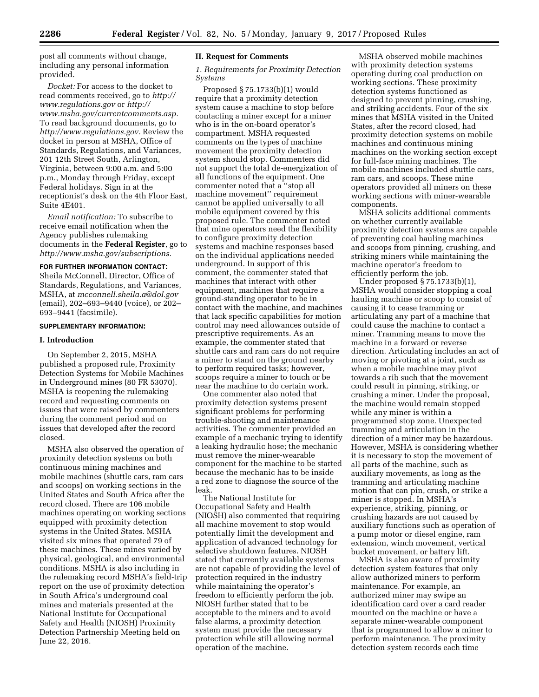post all comments without change, including any personal information provided.

*Docket:* For access to the docket to read comments received, go to *[http://](http://www.regulations.gov) [www.regulations.gov](http://www.regulations.gov)* or *[http://](http://www.msha.gov/currentcomments.asp) [www.msha.gov/currentcomments.asp.](http://www.msha.gov/currentcomments.asp)*  To read background documents, go to *[http://www.regulations.gov.](http://www.regulations.gov)* Review the docket in person at MSHA, Office of Standards, Regulations, and Variances, 201 12th Street South, Arlington, Virginia, between 9:00 a.m. and 5:00 p.m., Monday through Friday, except Federal holidays. Sign in at the receptionist's desk on the 4th Floor East, Suite 4E401.

*Email notification:* To subscribe to receive email notification when the Agency publishes rulemaking documents in the **Federal Register**, go to *[http://www.msha.gov/subscriptions.](http://www.msha.gov/subscriptions)* 

### **FOR FURTHER INFORMATION CONTACT:**

Sheila McConnell, Director, Office of Standards, Regulations, and Variances, MSHA, at *[mcconnell.sheila.a@dol.gov](mailto:mcconnell.sheila.a@dol.gov)*  (email), 202–693–9440 (voice), or 202– 693–9441 (facsimile).

### **SUPPLEMENTARY INFORMATION:**

## **I. Introduction**

On September 2, 2015, MSHA published a proposed rule, Proximity Detection Systems for Mobile Machines in Underground mines (80 FR 53070). MSHA is reopening the rulemaking record and requesting comments on issues that were raised by commenters during the comment period and on issues that developed after the record closed.

MSHA also observed the operation of proximity detection systems on both continuous mining machines and mobile machines (shuttle cars, ram cars and scoops) on working sections in the United States and South Africa after the record closed. There are 106 mobile machines operating on working sections equipped with proximity detection systems in the United States. MSHA visited six mines that operated 79 of these machines. These mines varied by physical, geological, and environmental conditions. MSHA is also including in the rulemaking record MSHA's field-trip report on the use of proximity detection in South Africa's underground coal mines and materials presented at the National Institute for Occupational Safety and Health (NIOSH) Proximity Detection Partnership Meeting held on June 22, 2016.

# **II. Request for Comments**

*1. Requirements for Proximity Detection Systems* 

Proposed § 75.1733(b)(1) would require that a proximity detection system cause a machine to stop before contacting a miner except for a miner who is in the on-board operator's compartment. MSHA requested comments on the types of machine movement the proximity detection system should stop. Commenters did not support the total de-energization of all functions of the equipment. One commenter noted that a ''stop all machine movement'' requirement cannot be applied universally to all mobile equipment covered by this proposed rule. The commenter noted that mine operators need the flexibility to configure proximity detection systems and machine responses based on the individual applications needed underground. In support of this comment, the commenter stated that machines that interact with other equipment, machines that require a ground-standing operator to be in contact with the machine, and machines that lack specific capabilities for motion control may need allowances outside of prescriptive requirements. As an example, the commenter stated that shuttle cars and ram cars do not require a miner to stand on the ground nearby to perform required tasks; however, scoops require a miner to touch or be near the machine to do certain work.

One commenter also noted that proximity detection systems present significant problems for performing trouble-shooting and maintenance activities. The commenter provided an example of a mechanic trying to identify a leaking hydraulic hose; the mechanic must remove the miner-wearable component for the machine to be started because the mechanic has to be inside a red zone to diagnose the source of the leak.

The National Institute for Occupational Safety and Health (NIOSH) also commented that requiring all machine movement to stop would potentially limit the development and application of advanced technology for selective shutdown features. NIOSH stated that currently available systems are not capable of providing the level of protection required in the industry while maintaining the operator's freedom to efficiently perform the job. NIOSH further stated that to be acceptable to the miners and to avoid false alarms, a proximity detection system must provide the necessary protection while still allowing normal operation of the machine.

MSHA observed mobile machines with proximity detection systems operating during coal production on working sections. These proximity detection systems functioned as designed to prevent pinning, crushing, and striking accidents. Four of the six mines that MSHA visited in the United States, after the record closed, had proximity detection systems on mobile machines and continuous mining machines on the working section except for full-face mining machines. The mobile machines included shuttle cars, ram cars, and scoops. These mine operators provided all miners on these working sections with miner-wearable components.

MSHA solicits additional comments on whether currently available proximity detection systems are capable of preventing coal hauling machines and scoops from pinning, crushing, and striking miners while maintaining the machine operator's freedom to efficiently perform the job.

Under proposed § 75.1733(b)(1), MSHA would consider stopping a coal hauling machine or scoop to consist of causing it to cease tramming or articulating any part of a machine that could cause the machine to contact a miner. Tramming means to move the machine in a forward or reverse direction. Articulating includes an act of moving or pivoting at a joint, such as when a mobile machine may pivot towards a rib such that the movement could result in pinning, striking, or crushing a miner. Under the proposal, the machine would remain stopped while any miner is within a programmed stop zone. Unexpected tramming and articulation in the direction of a miner may be hazardous. However, MSHA is considering whether it is necessary to stop the movement of all parts of the machine, such as auxiliary movements, as long as the tramming and articulating machine motion that can pin, crush, or strike a miner is stopped. In MSHA's experience, striking, pinning, or crushing hazards are not caused by auxiliary functions such as operation of a pump motor or diesel engine, ram extension, winch movement, vertical bucket movement, or battery lift.

MSHA is also aware of proximity detection system features that only allow authorized miners to perform maintenance. For example, an authorized miner may swipe an identification card over a card reader mounted on the machine or have a separate miner-wearable component that is programmed to allow a miner to perform maintenance. The proximity detection system records each time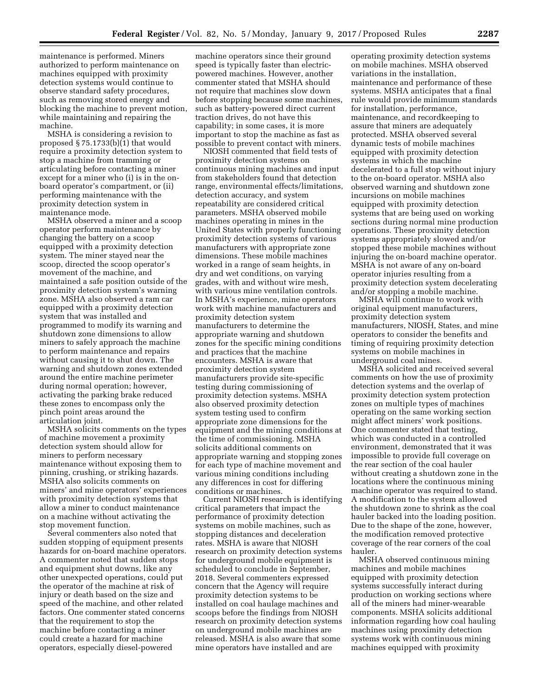maintenance is performed. Miners authorized to perform maintenance on machines equipped with proximity detection systems would continue to observe standard safety procedures, such as removing stored energy and blocking the machine to prevent motion, while maintaining and repairing the machine.

MSHA is considering a revision to proposed § 75.1733(b)(1) that would require a proximity detection system to stop a machine from tramming or articulating before contacting a miner except for a miner who (i) is in the onboard operator's compartment, or (ii) performing maintenance with the proximity detection system in maintenance mode.

MSHA observed a miner and a scoop operator perform maintenance by changing the battery on a scoop equipped with a proximity detection system. The miner stayed near the scoop, directed the scoop operator's movement of the machine, and maintained a safe position outside of the proximity detection system's warning zone. MSHA also observed a ram car equipped with a proximity detection system that was installed and programmed to modify its warning and shutdown zone dimensions to allow miners to safely approach the machine to perform maintenance and repairs without causing it to shut down. The warning and shutdown zones extended around the entire machine perimeter during normal operation; however, activating the parking brake reduced these zones to encompass only the pinch point areas around the articulation joint.

MSHA solicits comments on the types of machine movement a proximity detection system should allow for miners to perform necessary maintenance without exposing them to pinning, crushing, or striking hazards. MSHA also solicits comments on miners' and mine operators' experiences with proximity detection systems that allow a miner to conduct maintenance on a machine without activating the stop movement function.

Several commenters also noted that sudden stopping of equipment presents hazards for on-board machine operators. A commenter noted that sudden stops and equipment shut downs, like any other unexpected operations, could put the operator of the machine at risk of injury or death based on the size and speed of the machine, and other related factors. One commenter stated concerns that the requirement to stop the machine before contacting a miner could create a hazard for machine operators, especially diesel-powered

machine operators since their ground speed is typically faster than electricpowered machines. However, another commenter stated that MSHA should not require that machines slow down before stopping because some machines, such as battery-powered direct current traction drives, do not have this capability; in some cases, it is more important to stop the machine as fast as possible to prevent contact with miners.

NIOSH commented that field tests of proximity detection systems on continuous mining machines and input from stakeholders found that detection range, environmental effects/limitations, detection accuracy, and system repeatability are considered critical parameters. MSHA observed mobile machines operating in mines in the United States with properly functioning proximity detection systems of various manufacturers with appropriate zone dimensions. These mobile machines worked in a range of seam heights, in dry and wet conditions, on varying grades, with and without wire mesh, with various mine ventilation controls. In MSHA's experience, mine operators work with machine manufacturers and proximity detection system manufacturers to determine the appropriate warning and shutdown zones for the specific mining conditions and practices that the machine encounters. MSHA is aware that proximity detection system manufacturers provide site-specific testing during commissioning of proximity detection systems. MSHA also observed proximity detection system testing used to confirm appropriate zone dimensions for the equipment and the mining conditions at the time of commissioning. MSHA solicits additional comments on appropriate warning and stopping zones for each type of machine movement and various mining conditions including any differences in cost for differing conditions or machines.

Current NIOSH research is identifying critical parameters that impact the performance of proximity detection systems on mobile machines, such as stopping distances and deceleration rates. MSHA is aware that NIOSH research on proximity detection systems for underground mobile equipment is scheduled to conclude in September, 2018. Several commenters expressed concern that the Agency will require proximity detection systems to be installed on coal haulage machines and scoops before the findings from NIOSH research on proximity detection systems on underground mobile machines are released. MSHA is also aware that some mine operators have installed and are

operating proximity detection systems on mobile machines. MSHA observed variations in the installation, maintenance and performance of these systems. MSHA anticipates that a final rule would provide minimum standards for installation, performance, maintenance, and recordkeeping to assure that miners are adequately protected. MSHA observed several dynamic tests of mobile machines equipped with proximity detection systems in which the machine decelerated to a full stop without injury to the on-board operator. MSHA also observed warning and shutdown zone incursions on mobile machines equipped with proximity detection systems that are being used on working sections during normal mine production operations. These proximity detection systems appropriately slowed and/or stopped these mobile machines without injuring the on-board machine operator. MSHA is not aware of any on-board operator injuries resulting from a proximity detection system decelerating and/or stopping a mobile machine.

MSHA will continue to work with original equipment manufacturers, proximity detection system manufacturers, NIOSH, States, and mine operators to consider the benefits and timing of requiring proximity detection systems on mobile machines in underground coal mines.

MSHA solicited and received several comments on how the use of proximity detection systems and the overlap of proximity detection system protection zones on multiple types of machines operating on the same working section might affect miners' work positions. One commenter stated that testing, which was conducted in a controlled environment, demonstrated that it was impossible to provide full coverage on the rear section of the coal hauler without creating a shutdown zone in the locations where the continuous mining machine operator was required to stand. A modification to the system allowed the shutdown zone to shrink as the coal hauler backed into the loading position. Due to the shape of the zone, however, the modification removed protective coverage of the rear corners of the coal hauler.

MSHA observed continuous mining machines and mobile machines equipped with proximity detection systems successfully interact during production on working sections where all of the miners had miner-wearable components. MSHA solicits additional information regarding how coal hauling machines using proximity detection systems work with continuous mining machines equipped with proximity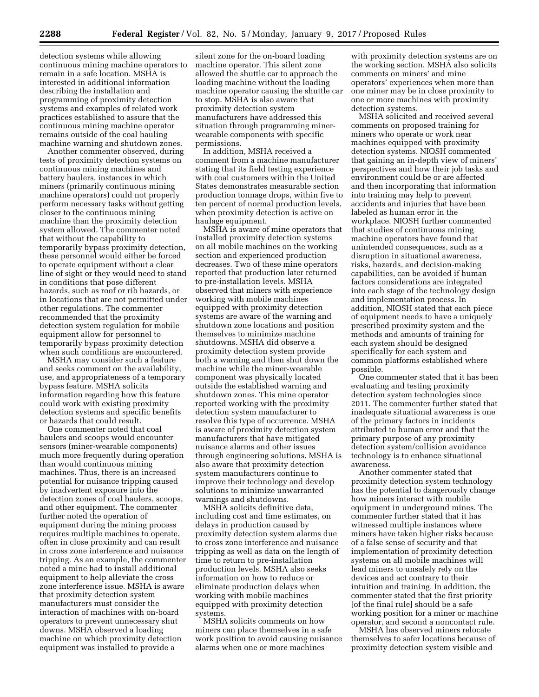detection systems while allowing continuous mining machine operators to remain in a safe location. MSHA is interested in additional information describing the installation and programming of proximity detection systems and examples of related work practices established to assure that the continuous mining machine operator remains outside of the coal hauling machine warning and shutdown zones.

Another commenter observed, during tests of proximity detection systems on continuous mining machines and battery haulers, instances in which miners (primarily continuous mining machine operators) could not properly perform necessary tasks without getting closer to the continuous mining machine than the proximity detection system allowed. The commenter noted that without the capability to temporarily bypass proximity detection, these personnel would either be forced to operate equipment without a clear line of sight or they would need to stand in conditions that pose different hazards, such as roof or rib hazards, or in locations that are not permitted under other regulations. The commenter recommended that the proximity detection system regulation for mobile equipment allow for personnel to temporarily bypass proximity detection when such conditions are encountered.

MSHA may consider such a feature and seeks comment on the availability, use, and appropriateness of a temporary bypass feature. MSHA solicits information regarding how this feature could work with existing proximity detection systems and specific benefits or hazards that could result.

One commenter noted that coal haulers and scoops would encounter sensors (miner-wearable components) much more frequently during operation than would continuous mining machines. Thus, there is an increased potential for nuisance tripping caused by inadvertent exposure into the detection zones of coal haulers, scoops, and other equipment. The commenter further noted the operation of equipment during the mining process requires multiple machines to operate, often in close proximity and can result in cross zone interference and nuisance tripping. As an example, the commenter noted a mine had to install additional equipment to help alleviate the cross zone interference issue. MSHA is aware that proximity detection system manufacturers must consider the interaction of machines with on-board operators to prevent unnecessary shut downs. MSHA observed a loading machine on which proximity detection equipment was installed to provide a

silent zone for the on-board loading machine operator. This silent zone allowed the shuttle car to approach the loading machine without the loading machine operator causing the shuttle car to stop. MSHA is also aware that proximity detection system manufacturers have addressed this situation through programming minerwearable components with specific permissions.

In addition, MSHA received a comment from a machine manufacturer stating that its field testing experience with coal customers within the United States demonstrates measurable section production tonnage drops, within five to ten percent of normal production levels, when proximity detection is active on haulage equipment.

MSHA is aware of mine operators that installed proximity detection systems on all mobile machines on the working section and experienced production decreases. Two of these mine operators reported that production later returned to pre-installation levels. MSHA observed that miners with experience working with mobile machines equipped with proximity detection systems are aware of the warning and shutdown zone locations and position themselves to minimize machine shutdowns. MSHA did observe a proximity detection system provide both a warning and then shut down the machine while the miner-wearable component was physically located outside the established warning and shutdown zones. This mine operator reported working with the proximity detection system manufacturer to resolve this type of occurrence. MSHA is aware of proximity detection system manufacturers that have mitigated nuisance alarms and other issues through engineering solutions. MSHA is also aware that proximity detection system manufacturers continue to improve their technology and develop solutions to minimize unwarranted warnings and shutdowns.

MSHA solicits definitive data, including cost and time estimates, on delays in production caused by proximity detection system alarms due to cross zone interference and nuisance tripping as well as data on the length of time to return to pre-installation production levels. MSHA also seeks information on how to reduce or eliminate production delays when working with mobile machines equipped with proximity detection systems.

MSHA solicits comments on how miners can place themselves in a safe work position to avoid causing nuisance alarms when one or more machines

with proximity detection systems are on the working section. MSHA also solicits comments on miners' and mine operators' experiences when more than one miner may be in close proximity to one or more machines with proximity detection systems.

MSHA solicited and received several comments on proposed training for miners who operate or work near machines equipped with proximity detection systems. NIOSH commented that gaining an in-depth view of miners' perspectives and how their job tasks and environment could be or are affected and then incorporating that information into training may help to prevent accidents and injuries that have been labeled as human error in the workplace. NIOSH further commented that studies of continuous mining machine operators have found that unintended consequences, such as a disruption in situational awareness, risks, hazards, and decision-making capabilities, can be avoided if human factors considerations are integrated into each stage of the technology design and implementation process. In addition, NIOSH stated that each piece of equipment needs to have a uniquely prescribed proximity system and the methods and amounts of training for each system should be designed specifically for each system and common platforms established where possible.

One commenter stated that it has been evaluating and testing proximity detection system technologies since 2011. The commenter further stated that inadequate situational awareness is one of the primary factors in incidents attributed to human error and that the primary purpose of any proximity detection system/collision avoidance technology is to enhance situational awareness.

Another commenter stated that proximity detection system technology has the potential to dangerously change how miners interact with mobile equipment in underground mines. The commenter further stated that it has witnessed multiple instances where miners have taken higher risks because of a false sense of security and that implementation of proximity detection systems on all mobile machines will lead miners to unsafely rely on the devices and act contrary to their intuition and training. In addition, the commenter stated that the first priority [of the final rule] should be a safe working position for a miner or machine operator, and second a noncontact rule.

MSHA has observed miners relocate themselves to safer locations because of proximity detection system visible and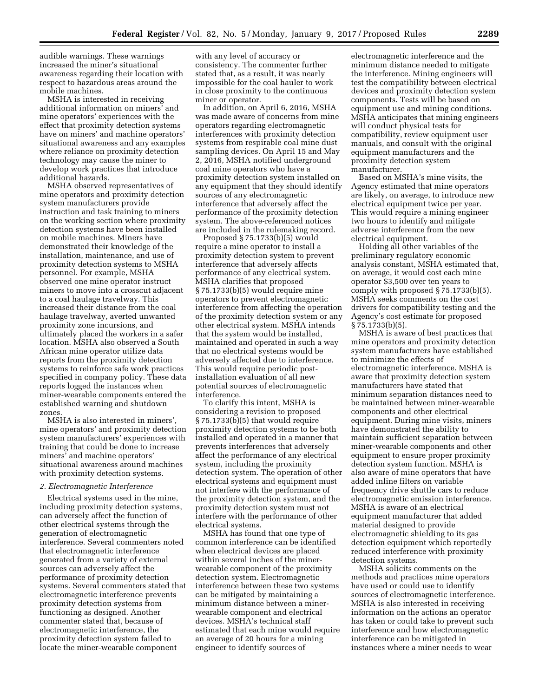audible warnings. These warnings increased the miner's situational awareness regarding their location with respect to hazardous areas around the mobile machines.

MSHA is interested in receiving additional information on miners' and mine operators' experiences with the effect that proximity detection systems have on miners' and machine operators' situational awareness and any examples where reliance on proximity detection technology may cause the miner to develop work practices that introduce additional hazards.

MSHA observed representatives of mine operators and proximity detection system manufacturers provide instruction and task training to miners on the working section where proximity detection systems have been installed on mobile machines. Miners have demonstrated their knowledge of the installation, maintenance, and use of proximity detection systems to MSHA personnel. For example, MSHA observed one mine operator instruct miners to move into a crosscut adjacent to a coal haulage travelway. This increased their distance from the coal haulage travelway, averted unwanted proximity zone incursions, and ultimately placed the workers in a safer location. MSHA also observed a South African mine operator utilize data reports from the proximity detection systems to reinforce safe work practices specified in company policy. These data reports logged the instances when miner-wearable components entered the established warning and shutdown zones.

MSHA is also interested in miners', mine operators' and proximity detection system manufacturers' experiences with training that could be done to increase miners' and machine operators' situational awareness around machines with proximity detection systems.

### *2. Electromagnetic Interference*

Electrical systems used in the mine, including proximity detection systems, can adversely affect the function of other electrical systems through the generation of electromagnetic interference. Several commenters noted that electromagnetic interference generated from a variety of external sources can adversely affect the performance of proximity detection systems. Several commenters stated that electromagnetic interference prevents proximity detection systems from functioning as designed. Another commenter stated that, because of electromagnetic interference, the proximity detection system failed to locate the miner-wearable component

with any level of accuracy or consistency. The commenter further stated that, as a result, it was nearly impossible for the coal hauler to work in close proximity to the continuous miner or operator.

In addition, on April 6, 2016, MSHA was made aware of concerns from mine operators regarding electromagnetic interferences with proximity detection systems from respirable coal mine dust sampling devices. On April 15 and May 2, 2016, MSHA notified underground coal mine operators who have a proximity detection system installed on any equipment that they should identify sources of any electromagnetic interference that adversely affect the performance of the proximity detection system. The above-referenced notices are included in the rulemaking record.

Proposed § 75.1733(b)(5) would require a mine operator to install a proximity detection system to prevent interference that adversely affects performance of any electrical system. MSHA clarifies that proposed § 75.1733(b)(5) would require mine operators to prevent electromagnetic interference from affecting the operation of the proximity detection system or any other electrical system. MSHA intends that the system would be installed, maintained and operated in such a way that no electrical systems would be adversely affected due to interference. This would require periodic postinstallation evaluation of all new potential sources of electromagnetic interference.

To clarify this intent, MSHA is considering a revision to proposed § 75.1733(b)(5) that would require proximity detection systems to be both installed and operated in a manner that prevents interferences that adversely affect the performance of any electrical system, including the proximity detection system. The operation of other electrical systems and equipment must not interfere with the performance of the proximity detection system, and the proximity detection system must not interfere with the performance of other electrical systems.

MSHA has found that one type of common interference can be identified when electrical devices are placed within several inches of the minerwearable component of the proximity detection system. Electromagnetic interference between these two systems can be mitigated by maintaining a minimum distance between a minerwearable component and electrical devices. MSHA's technical staff estimated that each mine would require an average of 20 hours for a mining engineer to identify sources of

electromagnetic interference and the minimum distance needed to mitigate the interference. Mining engineers will test the compatibility between electrical devices and proximity detection system components. Tests will be based on equipment use and mining conditions. MSHA anticipates that mining engineers will conduct physical tests for compatibility, review equipment user manuals, and consult with the original equipment manufacturers and the proximity detection system manufacturer.

Based on MSHA's mine visits, the Agency estimated that mine operators are likely, on average, to introduce new electrical equipment twice per year. This would require a mining engineer two hours to identify and mitigate adverse interference from the new electrical equipment.

Holding all other variables of the preliminary regulatory economic analysis constant, MSHA estimated that, on average, it would cost each mine operator \$3,500 over ten years to comply with proposed § 75.1733(b)(5). MSHA seeks comments on the cost drivers for compatibility testing and the Agency's cost estimate for proposed § 75.1733(b)(5).

MSHA is aware of best practices that mine operators and proximity detection system manufacturers have established to minimize the effects of electromagnetic interference. MSHA is aware that proximity detection system manufacturers have stated that minimum separation distances need to be maintained between miner-wearable components and other electrical equipment. During mine visits, miners have demonstrated the ability to maintain sufficient separation between miner-wearable components and other equipment to ensure proper proximity detection system function. MSHA is also aware of mine operators that have added inline filters on variable frequency drive shuttle cars to reduce electromagnetic emission interference. MSHA is aware of an electrical equipment manufacturer that added material designed to provide electromagnetic shielding to its gas detection equipment which reportedly reduced interference with proximity detection systems.

MSHA solicits comments on the methods and practices mine operators have used or could use to identify sources of electromagnetic interference. MSHA is also interested in receiving information on the actions an operator has taken or could take to prevent such interference and how electromagnetic interference can be mitigated in instances where a miner needs to wear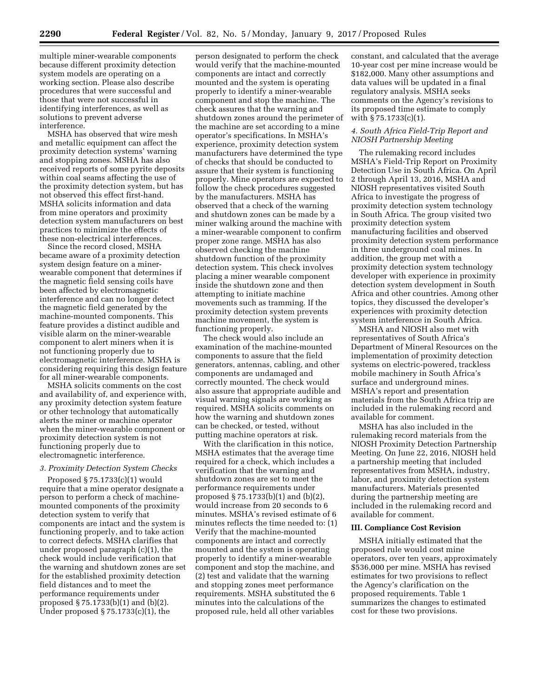multiple miner-wearable components because different proximity detection system models are operating on a working section. Please also describe procedures that were successful and those that were not successful in identifying interferences, as well as solutions to prevent adverse interference.

MSHA has observed that wire mesh and metallic equipment can affect the proximity detection systems' warning and stopping zones. MSHA has also received reports of some pyrite deposits within coal seams affecting the use of the proximity detection system, but has not observed this effect first-hand. MSHA solicits information and data from mine operators and proximity detection system manufacturers on best practices to minimize the effects of these non-electrical interferences.

Since the record closed, MSHA became aware of a proximity detection system design feature on a minerwearable component that determines if the magnetic field sensing coils have been affected by electromagnetic interference and can no longer detect the magnetic field generated by the machine-mounted components. This feature provides a distinct audible and visible alarm on the miner-wearable component to alert miners when it is not functioning properly due to electromagnetic interference. MSHA is considering requiring this design feature for all miner-wearable components.

MSHA solicits comments on the cost and availability of, and experience with, any proximity detection system feature or other technology that automatically alerts the miner or machine operator when the miner-wearable component or proximity detection system is not functioning properly due to electromagnetic interference.

## *3. Proximity Detection System Checks*

Proposed § 75.1733(c)(1) would require that a mine operator designate a person to perform a check of machinemounted components of the proximity detection system to verify that components are intact and the system is functioning properly, and to take action to correct defects. MSHA clarifies that under proposed paragraph (c)(1), the check would include verification that the warning and shutdown zones are set for the established proximity detection field distances and to meet the performance requirements under proposed § 75.1733(b)(1) and (b)(2). Under proposed § 75.1733(c)(1), the

person designated to perform the check would verify that the machine-mounted components are intact and correctly mounted and the system is operating properly to identify a miner-wearable component and stop the machine. The check assures that the warning and shutdown zones around the perimeter of the machine are set according to a mine operator's specifications. In MSHA's experience, proximity detection system manufacturers have determined the type of checks that should be conducted to assure that their system is functioning properly. Mine operators are expected to follow the check procedures suggested by the manufacturers. MSHA has observed that a check of the warning and shutdown zones can be made by a miner walking around the machine with a miner-wearable component to confirm proper zone range. MSHA has also observed checking the machine shutdown function of the proximity detection system. This check involves placing a miner wearable component inside the shutdown zone and then attempting to initiate machine movements such as tramming. If the proximity detection system prevents machine movement, the system is functioning properly.

The check would also include an examination of the machine-mounted components to assure that the field generators, antennas, cabling, and other components are undamaged and correctly mounted. The check would also assure that appropriate audible and visual warning signals are working as required. MSHA solicits comments on how the warning and shutdown zones can be checked, or tested, without putting machine operators at risk.

With the clarification in this notice, MSHA estimates that the average time required for a check, which includes a verification that the warning and shutdown zones are set to meet the performance requirements under proposed § 75.1733(b)(1) and (b)(2), would increase from 20 seconds to 6 minutes. MSHA's revised estimate of 6 minutes reflects the time needed to: (1) Verify that the machine-mounted components are intact and correctly mounted and the system is operating properly to identify a miner-wearable component and stop the machine, and (2) test and validate that the warning and stopping zones meet performance requirements. MSHA substituted the 6 minutes into the calculations of the proposed rule, held all other variables

constant, and calculated that the average 10-year cost per mine increase would be \$182,000. Many other assumptions and data values will be updated in a final regulatory analysis. MSHA seeks comments on the Agency's revisions to its proposed time estimate to comply with § 75.1733(c)(1).

# *4. South Africa Field-Trip Report and NIOSH Partnership Meeting*

The rulemaking record includes MSHA's Field-Trip Report on Proximity Detection Use in South Africa. On April 2 through April 13, 2016, MSHA and NIOSH representatives visited South Africa to investigate the progress of proximity detection system technology in South Africa. The group visited two proximity detection system manufacturing facilities and observed proximity detection system performance in three underground coal mines. In addition, the group met with a proximity detection system technology developer with experience in proximity detection system development in South Africa and other countries. Among other topics, they discussed the developer's experiences with proximity detection system interference in South Africa.

MSHA and NIOSH also met with representatives of South Africa's Department of Mineral Resources on the implementation of proximity detection systems on electric-powered, trackless mobile machinery in South Africa's surface and underground mines. MSHA's report and presentation materials from the South Africa trip are included in the rulemaking record and available for comment.

MSHA has also included in the rulemaking record materials from the NIOSH Proximity Detection Partnership Meeting. On June 22, 2016, NIOSH held a partnership meeting that included representatives from MSHA, industry, labor, and proximity detection system manufacturers. Materials presented during the partnership meeting are included in the rulemaking record and available for comment.

## **III. Compliance Cost Revision**

MSHA initially estimated that the proposed rule would cost mine operators, over ten years, approximately \$536,000 per mine. MSHA has revised estimates for two provisions to reflect the Agency's clarification on the proposed requirements. Table 1 summarizes the changes to estimated cost for these two provisions.